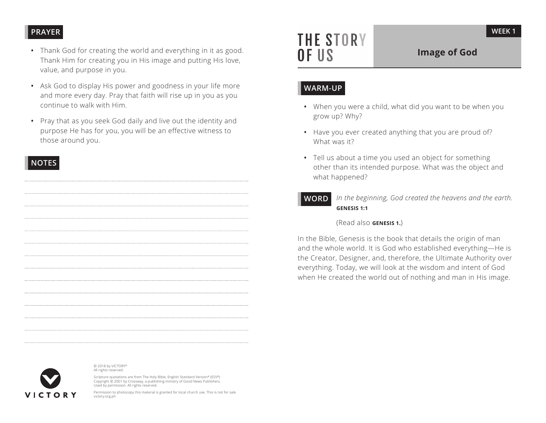# **PRAYER**

- Thank God for creating the world and everything in it as good. Thank Him for creating you in His image and putting His love, value, and purpose in you.
- Ask God to display His power and goodness in your life more and more every day. Pray that faith will rise up in you as you continue to walk with Him.
- Pray that as you seek God daily and live out the identity and purpose He has for you, you will be an effective witness to those around you.

# **NOTES**



© 2018 by VICTORY® All rights reserved.

Scripture quotations are from The Holy Bible, English Standard Version® (ESV®) Copyright © 2001 by Crossway, a publishing ministry of Good News Publishers. Used by permission. All rights reserved.

Permission to photocopy this material is granted for local church use. This is not for sale. victory.org.ph

# **THE STORY** OF US

# **Image of God**

# **WARM-UP**

- When you were a child, what did you want to be when you grow up? Why?
- Have you ever created anything that you are proud of? What was it?
- Tell us about a time you used an object for something other than its intended purpose. What was the object and what happened?
- **WORD***In the beginning, God created the heavens and the earth.*<br>**GENESIS 1:1**

(Read also **GENESIS 1.**)

In the Bible, Genesis is the book that details the origin of man and the whole world. It is God who established everything—He is the Creator, Designer, and, therefore, the Ultimate Authority over everything. Today, we will look at the wisdom and intent of God when He created the world out of nothing and man in His image.

**WEEK 1**